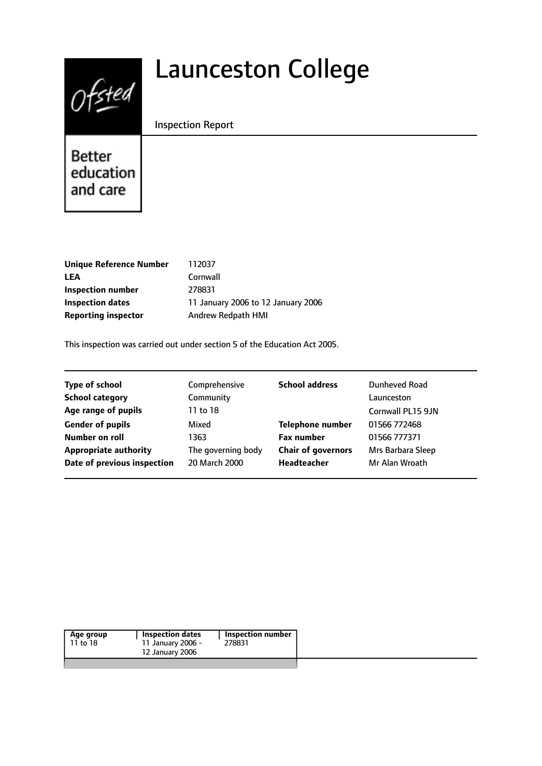# $0$ fsted

# Launceston College

#### Inspection Report

Better education and care

| 112037                             |
|------------------------------------|
| Cornwall                           |
| 278831                             |
| 11 January 2006 to 12 January 2006 |
| Andrew Redpath HMI                 |
|                                    |

This inspection was carried out under section 5 of the Education Act 2005.

| <b>Type of school</b>        | Comprehensive      | <b>School address</b>     | Dunheved Road     |
|------------------------------|--------------------|---------------------------|-------------------|
| <b>School category</b>       | Community          |                           | Launceston        |
| Age range of pupils          | 11 to 18           |                           | Cornwall PL15 9JN |
| <b>Gender of pupils</b>      | Mixed              | <b>Telephone number</b>   | 01566 772468      |
| Number on roll               | 1363               | <b>Fax number</b>         | 01566 777371      |
| <b>Appropriate authority</b> | The governing body | <b>Chair of governors</b> | Mrs Barbara Sleep |
| Date of previous inspection  | 20 March 2000      | <b>Headteacher</b>        | Mr Alan Wroath    |
|                              |                    |                           |                   |

| Age group | Inspection dates  | <b>Inspection number</b> |
|-----------|-------------------|--------------------------|
| 11 to 18  | 11 January 2006 - | 278831                   |
|           | 12 January 2006   |                          |
|           |                   |                          |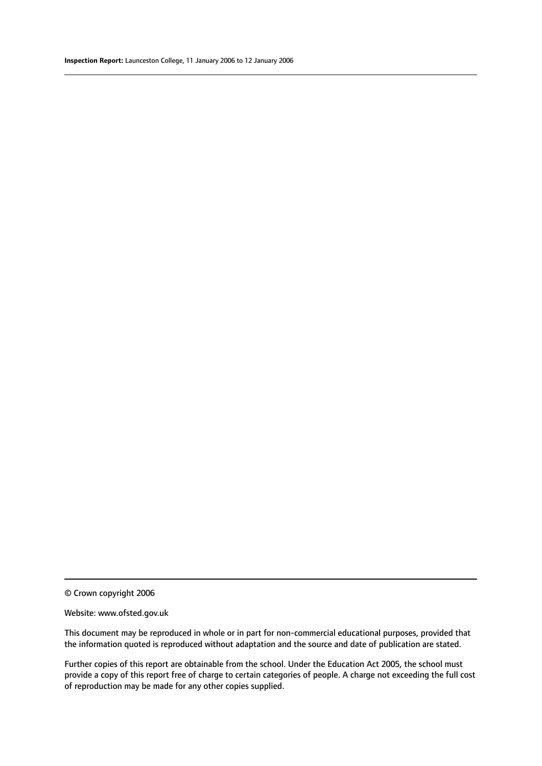© Crown copyright 2006

#### Website: www.ofsted.gov.uk

This document may be reproduced in whole or in part for non-commercial educational purposes, provided that the information quoted is reproduced without adaptation and the source and date of publication are stated.

Further copies of this report are obtainable from the school. Under the Education Act 2005, the school must provide a copy of this report free of charge to certain categories of people. A charge not exceeding the full cost of reproduction may be made for any other copies supplied.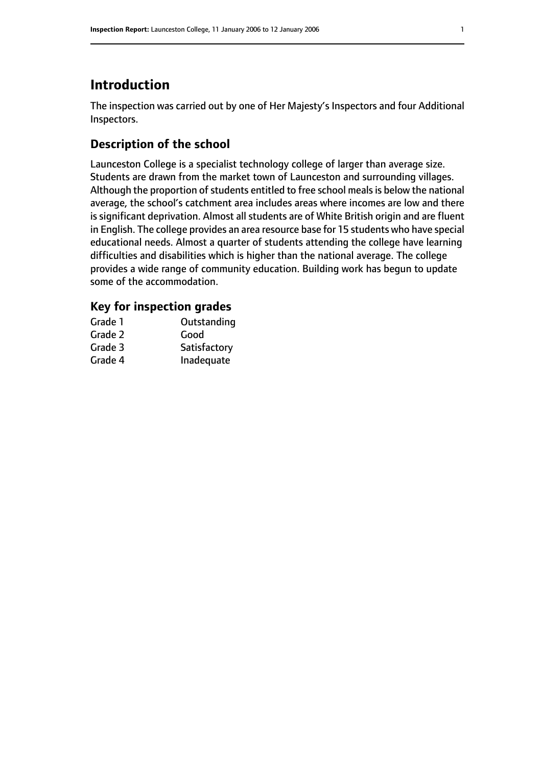# **Introduction**

The inspection was carried out by one of Her Majesty's Inspectors and four Additional Inspectors.

#### **Description of the school**

Launceston College is a specialist technology college of larger than average size. Students are drawn from the market town of Launceston and surrounding villages. Although the proportion of students entitled to free school meals is below the national average, the school's catchment area includes areas where incomes are low and there is significant deprivation. Almost all students are of White British origin and are fluent in English. The college provides an area resource base for 15 students who have special educational needs. Almost a quarter of students attending the college have learning difficulties and disabilities which is higher than the national average. The college provides a wide range of community education. Building work has begun to update some of the accommodation.

#### **Key for inspection grades**

| Grade 1 | Outstanding  |
|---------|--------------|
| Grade 2 | Good         |
| Grade 3 | Satisfactory |
| Grade 4 | Inadequate   |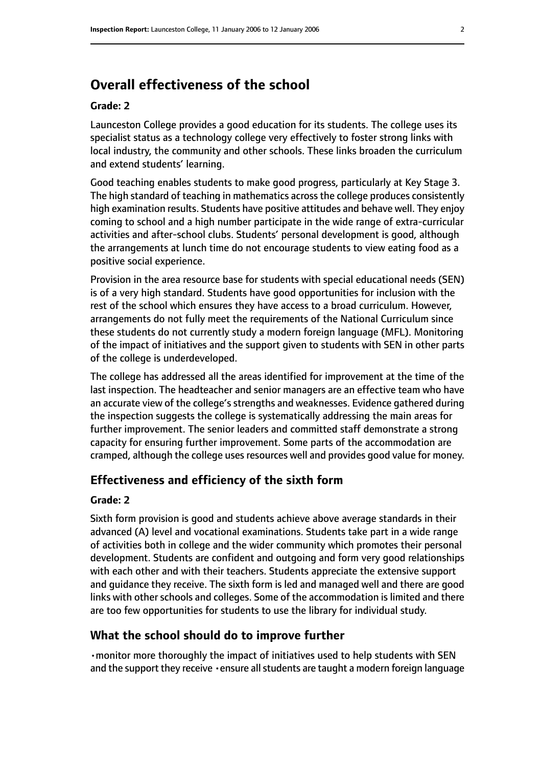# **Overall effectiveness of the school**

#### **Grade: 2**

Launceston College provides a good education for its students. The college uses its specialist status as a technology college very effectively to foster strong links with local industry, the community and other schools. These links broaden the curriculum and extend students' learning.

Good teaching enables students to make good progress, particularly at Key Stage 3. The high standard of teaching in mathematics across the college produces consistently high examination results. Students have positive attitudes and behave well. They enjoy coming to school and a high number participate in the wide range of extra-curricular activities and after-school clubs. Students' personal development is good, although the arrangements at lunch time do not encourage students to view eating food as a positive social experience.

Provision in the area resource base for students with special educational needs (SEN) is of a very high standard. Students have good opportunities for inclusion with the rest of the school which ensures they have access to a broad curriculum. However, arrangements do not fully meet the requirements of the National Curriculum since these students do not currently study a modern foreign language (MFL). Monitoring of the impact of initiatives and the support given to students with SEN in other parts of the college is underdeveloped.

The college has addressed all the areas identified for improvement at the time of the last inspection. The headteacher and senior managers are an effective team who have an accurate view of the college's strengths and weaknesses. Evidence gathered during the inspection suggests the college is systematically addressing the main areas for further improvement. The senior leaders and committed staff demonstrate a strong capacity for ensuring further improvement. Some parts of the accommodation are cramped, although the college uses resources well and provides good value for money.

#### **Effectiveness and efficiency of the sixth form**

#### **Grade: 2**

Sixth form provision is good and students achieve above average standards in their advanced (A) level and vocational examinations. Students take part in a wide range of activities both in college and the wider community which promotes their personal development. Students are confident and outgoing and form very good relationships with each other and with their teachers. Students appreciate the extensive support and guidance they receive. The sixth form is led and managed well and there are good links with other schools and colleges. Some of the accommodation is limited and there are too few opportunities for students to use the library for individual study.

#### **What the school should do to improve further**

•monitor more thoroughly the impact of initiatives used to help students with SEN and the support they receive  $\cdot$  ensure all students are taught a modern foreign language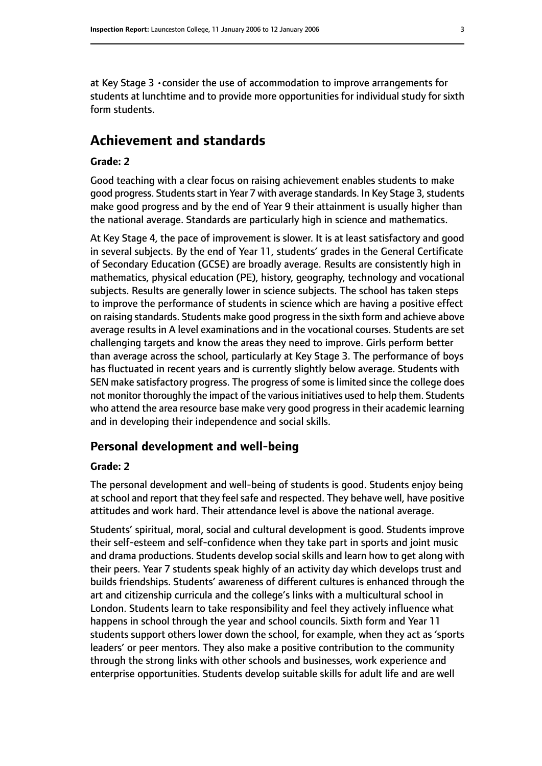at Key Stage 3 •consider the use of accommodation to improve arrangements for students at lunchtime and to provide more opportunities for individual study for sixth form students.

#### **Achievement and standards**

#### **Grade: 2**

Good teaching with a clear focus on raising achievement enables students to make good progress. Students start in Year 7 with average standards. In Key Stage 3, students make good progress and by the end of Year 9 their attainment is usually higher than the national average. Standards are particularly high in science and mathematics.

At Key Stage 4, the pace of improvement is slower. It is at least satisfactory and good in several subjects. By the end of Year 11, students' grades in the General Certificate of Secondary Education (GCSE) are broadly average. Results are consistently high in mathematics, physical education (PE), history, geography, technology and vocational subjects. Results are generally lower in science subjects. The school has taken steps to improve the performance of students in science which are having a positive effect on raising standards. Students make good progressin the sixth form and achieve above average results in A level examinations and in the vocational courses. Students are set challenging targets and know the areas they need to improve. Girls perform better than average across the school, particularly at Key Stage 3. The performance of boys has fluctuated in recent years and is currently slightly below average. Students with SEN make satisfactory progress. The progress of some is limited since the college does not monitor thoroughly the impact of the various initiatives used to help them. Students who attend the area resource base make very good progress in their academic learning and in developing their independence and social skills.

#### **Personal development and well-being**

#### **Grade: 2**

The personal development and well-being of students is good. Students enjoy being at school and report that they feel safe and respected. They behave well, have positive attitudes and work hard. Their attendance level is above the national average.

Students' spiritual, moral, social and cultural development is good. Students improve their self-esteem and self-confidence when they take part in sports and joint music and drama productions. Students develop social skills and learn how to get along with their peers. Year 7 students speak highly of an activity day which develops trust and builds friendships. Students' awareness of different cultures is enhanced through the art and citizenship curricula and the college's links with a multicultural school in London. Students learn to take responsibility and feel they actively influence what happens in school through the year and school councils. Sixth form and Year 11 students support others lower down the school, for example, when they act as 'sports leaders' or peer mentors. They also make a positive contribution to the community through the strong links with other schools and businesses, work experience and enterprise opportunities. Students develop suitable skills for adult life and are well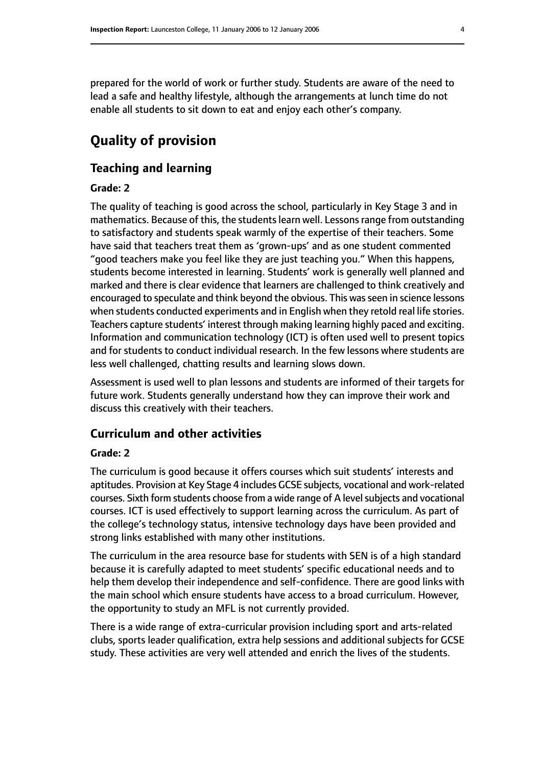prepared for the world of work or further study. Students are aware of the need to lead a safe and healthy lifestyle, although the arrangements at lunch time do not enable all students to sit down to eat and enjoy each other's company.

# **Quality of provision**

#### **Teaching and learning**

#### **Grade: 2**

The quality of teaching is good across the school, particularly in Key Stage 3 and in mathematics. Because of this, the students learn well. Lessons range from outstanding to satisfactory and students speak warmly of the expertise of their teachers. Some have said that teachers treat them as 'grown-ups' and as one student commented "good teachers make you feel like they are just teaching you." When this happens, students become interested in learning. Students' work is generally well planned and marked and there is clear evidence that learners are challenged to think creatively and encouraged to speculate and think beyond the obvious. This was seen in science lessons when students conducted experiments and in English when they retold real life stories. Teachers capture students' interest through making learning highly paced and exciting. Information and communication technology (ICT) is often used well to present topics and for students to conduct individual research. In the few lessons where students are less well challenged, chatting results and learning slows down.

Assessment is used well to plan lessons and students are informed of their targets for future work. Students generally understand how they can improve their work and discuss this creatively with their teachers.

#### **Curriculum and other activities**

#### **Grade: 2**

The curriculum is good because it offers courses which suit students' interests and aptitudes. Provision at Key Stage 4 includes GCSE subjects, vocational and work-related courses. Sixth form students choose from a wide range of A level subjects and vocational courses. ICT is used effectively to support learning across the curriculum. As part of the college's technology status, intensive technology days have been provided and strong links established with many other institutions.

The curriculum in the area resource base for students with SEN is of a high standard because it is carefully adapted to meet students' specific educational needs and to help them develop their independence and self-confidence. There are good links with the main school which ensure students have access to a broad curriculum. However, the opportunity to study an MFL is not currently provided.

There is a wide range of extra-curricular provision including sport and arts-related clubs, sports leader qualification, extra help sessions and additional subjects for GCSE study. These activities are very well attended and enrich the lives of the students.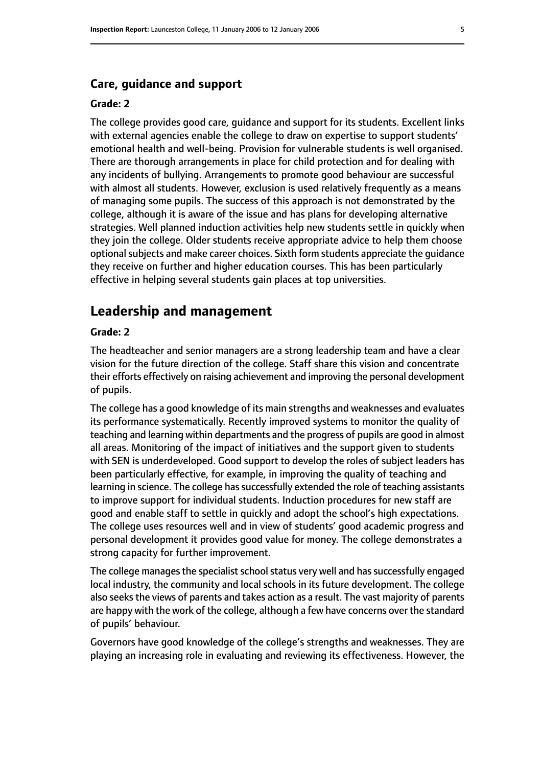#### **Care, guidance and support**

#### **Grade: 2**

The college provides good care, guidance and support for its students. Excellent links with external agencies enable the college to draw on expertise to support students' emotional health and well-being. Provision for vulnerable students is well organised. There are thorough arrangements in place for child protection and for dealing with any incidents of bullying. Arrangements to promote good behaviour are successful with almost all students. However, exclusion is used relatively frequently as a means of managing some pupils. The success of this approach is not demonstrated by the college, although it is aware of the issue and has plans for developing alternative strategies. Well planned induction activities help new students settle in quickly when they join the college. Older students receive appropriate advice to help them choose optional subjects and make career choices. Sixth form students appreciate the quidance they receive on further and higher education courses. This has been particularly effective in helping several students gain places at top universities.

# **Leadership and management**

#### **Grade: 2**

The headteacher and senior managers are a strong leadership team and have a clear vision for the future direction of the college. Staff share this vision and concentrate their efforts effectively on raising achievement and improving the personal development of pupils.

The college has a good knowledge of its main strengths and weaknesses and evaluates its performance systematically. Recently improved systems to monitor the quality of teaching and learning within departments and the progress of pupils are good in almost all areas. Monitoring of the impact of initiatives and the support given to students with SEN is underdeveloped. Good support to develop the roles of subject leaders has been particularly effective, for example, in improving the quality of teaching and learning in science. The college has successfully extended the role of teaching assistants to improve support for individual students. Induction procedures for new staff are good and enable staff to settle in quickly and adopt the school's high expectations. The college uses resources well and in view of students' good academic progress and personal development it provides good value for money. The college demonstrates a strong capacity for further improvement.

The college manages the specialist school status very well and has successfully engaged local industry, the community and local schools in its future development. The college also seeks the views of parents and takes action as a result. The vast majority of parents are happy with the work of the college, although a few have concerns over the standard of pupils' behaviour.

Governors have good knowledge of the college's strengths and weaknesses. They are playing an increasing role in evaluating and reviewing its effectiveness. However, the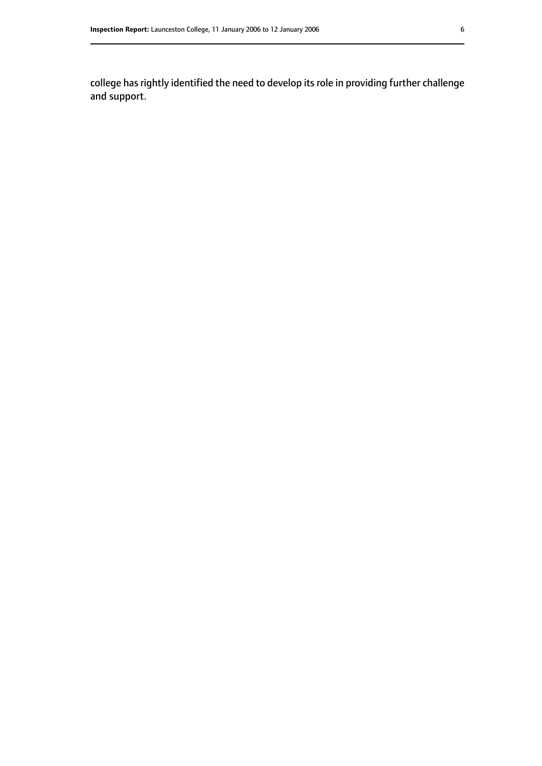college has rightly identified the need to develop its role in providing further challenge and support.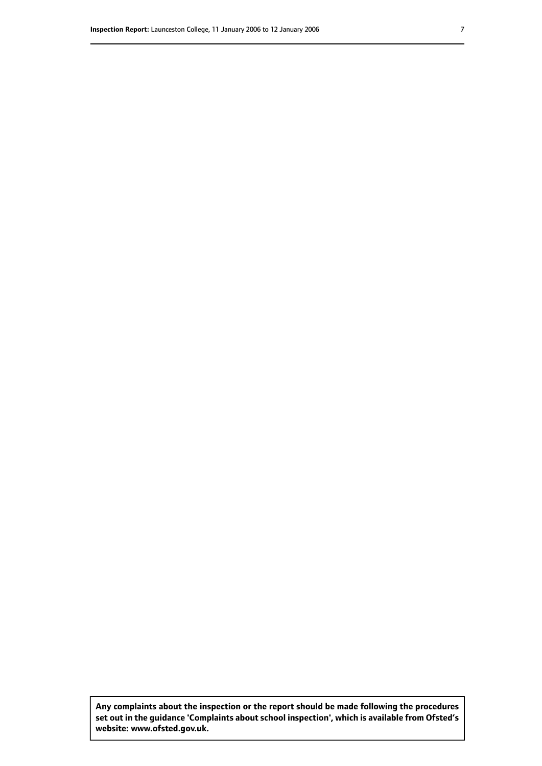**Any complaints about the inspection or the report should be made following the procedures set out inthe guidance 'Complaints about school inspection', whichis available from Ofsted's website: www.ofsted.gov.uk.**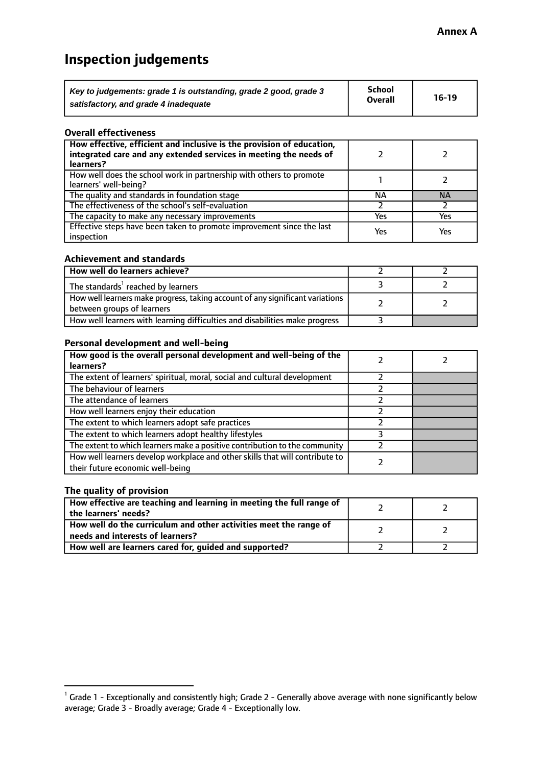# **Inspection judgements**

| Key to judgements: grade 1 is outstanding, grade 2 good, grade 3 | School         | $16-19$ |
|------------------------------------------------------------------|----------------|---------|
| satisfactory, and grade 4 inadequate                             | <b>Overall</b> |         |

#### **Overall effectiveness**

| How effective, efficient and inclusive is the provision of education,<br>integrated care and any extended services in meeting the needs of<br>learners? |     |           |
|---------------------------------------------------------------------------------------------------------------------------------------------------------|-----|-----------|
| How well does the school work in partnership with others to promote<br>learners' well-being?                                                            |     |           |
| The quality and standards in foundation stage                                                                                                           | ΝA  | <b>NA</b> |
| The effectiveness of the school's self-evaluation                                                                                                       |     |           |
| The capacity to make any necessary improvements                                                                                                         | Yes | Yes       |
| Effective steps have been taken to promote improvement since the last<br>inspection                                                                     | Yes | Yes       |

#### **Achievement and standards**

| How well do learners achieve?                                                                                 |  |
|---------------------------------------------------------------------------------------------------------------|--|
| The standards <sup>1</sup> reached by learners                                                                |  |
| How well learners make progress, taking account of any significant variations  <br>between groups of learners |  |
| How well learners with learning difficulties and disabilities make progress                                   |  |

#### **Personal development and well-being**

| How good is the overall personal development and well-being of the<br>learners?                                  |  |
|------------------------------------------------------------------------------------------------------------------|--|
| The extent of learners' spiritual, moral, social and cultural development                                        |  |
| The behaviour of learners                                                                                        |  |
| The attendance of learners                                                                                       |  |
| How well learners enjoy their education                                                                          |  |
| The extent to which learners adopt safe practices                                                                |  |
| The extent to which learners adopt healthy lifestyles                                                            |  |
| The extent to which learners make a positive contribution to the community                                       |  |
| How well learners develop workplace and other skills that will contribute to<br>their future economic well-being |  |

#### **The quality of provision**

| How effective are teaching and learning in meeting the full range of<br>the learners' needs?          |  |
|-------------------------------------------------------------------------------------------------------|--|
| How well do the curriculum and other activities meet the range of<br>needs and interests of learners? |  |
| How well are learners cared for, guided and supported?                                                |  |

 $^1$  Grade 1 - Exceptionally and consistently high; Grade 2 - Generally above average with none significantly below average; Grade 3 - Broadly average; Grade 4 - Exceptionally low.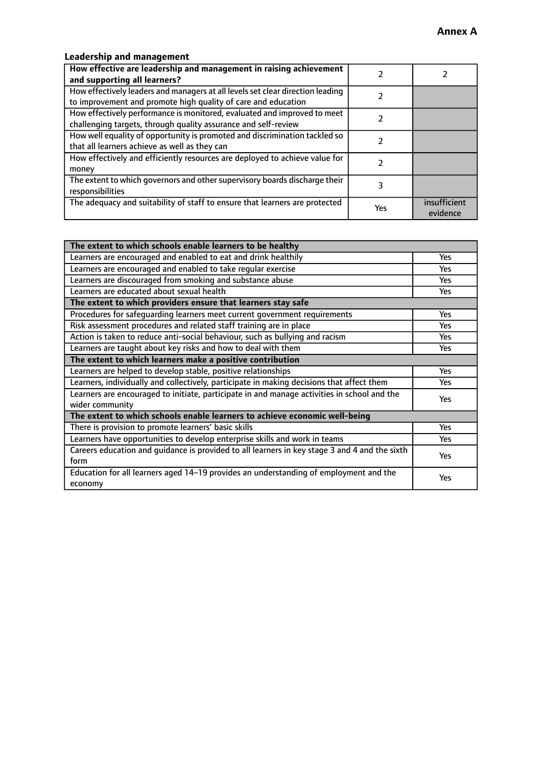#### **Leadership and management**

| How effective are leadership and management in raising achievement<br>and supporting all learners?                                              |     |                          |
|-------------------------------------------------------------------------------------------------------------------------------------------------|-----|--------------------------|
| How effectively leaders and managers at all levels set clear direction leading<br>to improvement and promote high quality of care and education |     |                          |
| How effectively performance is monitored, evaluated and improved to meet<br>challenging targets, through quality assurance and self-review      |     |                          |
| How well equality of opportunity is promoted and discrimination tackled so<br>that all learners achieve as well as they can                     |     |                          |
| How effectively and efficiently resources are deployed to achieve value for<br>money                                                            |     |                          |
| The extent to which governors and other supervisory boards discharge their<br>responsibilities                                                  |     |                          |
| The adequacy and suitability of staff to ensure that learners are protected                                                                     | Yes | insufficient<br>evidence |

| The extent to which schools enable learners to be healthy                                     |            |  |
|-----------------------------------------------------------------------------------------------|------------|--|
| Learners are encouraged and enabled to eat and drink healthily                                | Yes        |  |
| Learners are encouraged and enabled to take regular exercise                                  | Yes        |  |
| Learners are discouraged from smoking and substance abuse                                     | <b>Yes</b> |  |
| Learners are educated about sexual health                                                     | <b>Yes</b> |  |
| The extent to which providers ensure that learners stay safe                                  |            |  |
| Procedures for safequarding learners meet current government requirements                     | <b>Yes</b> |  |
| Risk assessment procedures and related staff training are in place                            | Yes        |  |
| Action is taken to reduce anti-social behaviour, such as bullying and racism                  | <b>Yes</b> |  |
| Learners are taught about key risks and how to deal with them                                 | Yes        |  |
| The extent to which learners make a positive contribution                                     |            |  |
| Learners are helped to develop stable, positive relationships                                 | Yes        |  |
| Learners, individually and collectively, participate in making decisions that affect them     | <b>Yes</b> |  |
| Learners are encouraged to initiate, participate in and manage activities in school and the   | <b>Yes</b> |  |
| wider community                                                                               |            |  |
| The extent to which schools enable learners to achieve economic well-being                    |            |  |
| There is provision to promote learners' basic skills                                          | Yes        |  |
| Learners have opportunities to develop enterprise skills and work in teams                    | Yes        |  |
| Careers education and quidance is provided to all learners in key stage 3 and 4 and the sixth | Yes        |  |
| form                                                                                          |            |  |
| Education for all learners aged 14-19 provides an understanding of employment and the         | Yes        |  |
| economy                                                                                       |            |  |